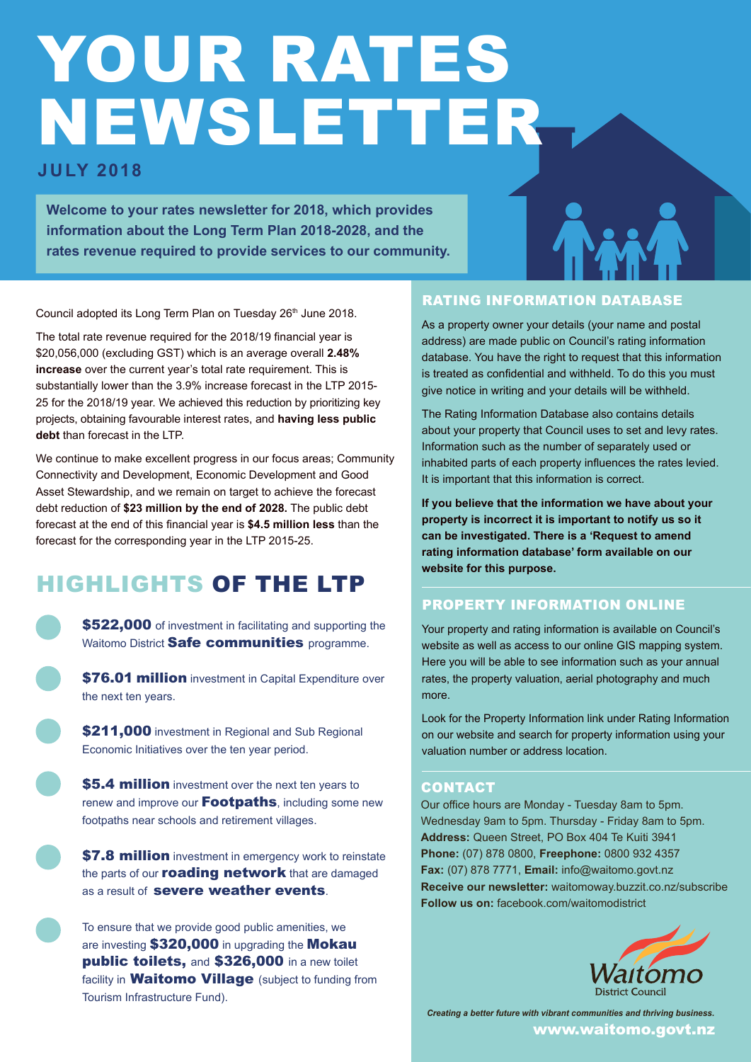## YOUR RATES NEWSLETTER

#### **JULY 2018**

**Welcome to your rates newsletter for 2018, which provides information about the Long Term Plan 2018-2028, and the rates revenue required to provide services to our community.**

Council adopted its Long Term Plan on Tuesday 26<sup>th</sup> June 2018.

The total rate revenue required for the 2018/19 financial year is \$20,056,000 (excluding GST) which is an average overall **2.48% increase** over the current year's total rate requirement. This is substantially lower than the 3.9% increase forecast in the LTP 2015- 25 for the 2018/19 year. We achieved this reduction by prioritizing key projects, obtaining favourable interest rates, and **having less public debt** than forecast in the LTP.

We continue to make excellent progress in our focus areas; Community Connectivity and Development, Economic Development and Good Asset Stewardship, and we remain on target to achieve the forecast debt reduction of **\$23 million by the end of 2028.** The public debt forecast at the end of this financial year is **\$4.5 million less** than the forecast for the corresponding year in the LTP 2015-25.

### HIGHLIGHTS OF THE LTP

\$522,000 of investment in facilitating and supporting the Waitomo District Safe communities programme.

\$76.01 million investment in Capital Expenditure over the next ten years.

\$211,000 investment in Regional and Sub Regional Economic Initiatives over the ten year period.

\$5.4 million investment over the next ten years to renew and improve our **Footpaths**, including some new footpaths near schools and retirement villages.

**\$7.8 million** investment in emergency work to reinstate the parts of our **roading network** that are damaged as a result of **severe weather events**.

To ensure that we provide good public amenities, we are investing \$320,000 in upgrading the Mokau public toilets, and \$326,000 in a new toilet facility in **Waitomo Village** (subject to funding from Tourism Infrastructure Fund).

#### RATING INFORMATION DATABASE

As a property owner your details (your name and postal address) are made public on Council's rating information database. You have the right to request that this information is treated as confidential and withheld. To do this you must give notice in writing and your details will be withheld.

The Rating Information Database also contains details about your property that Council uses to set and levy rates. Information such as the number of separately used or inhabited parts of each property influences the rates levied. It is important that this information is correct.

**If you believe that the information we have about your property is incorrect it is important to notify us so it can be investigated. There is a 'Request to amend rating information database' form available on our website for this purpose.**

#### PROPERTY INFORMATION ONLINE

Your property and rating information is available on Council's website as well as access to our online GIS mapping system. Here you will be able to see information such as your annual rates, the property valuation, aerial photography and much more.

Look for the Property Information link under Rating Information on our website and search for property information using your valuation number or address location.

#### **CONTACT**

Our office hours are Monday - Tuesday 8am to 5pm. Wednesday 9am to 5pm. Thursday - Friday 8am to 5pm. **Address:** Queen Street, PO Box 404 Te Kuiti 3941 **Phone:** (07) 878 0800, **Freephone:** 0800 932 4357 **Fax:** (07) 878 7771, **Email:** info@waitomo.govt.nz **Receive our newsletter:** waitomoway.buzzit.co.nz/subscribe **Follow us on:** facebook.com/waitomodistrict



*Creating a better future with vibrant communities and thriving business.* www.waitomo.govt.nz